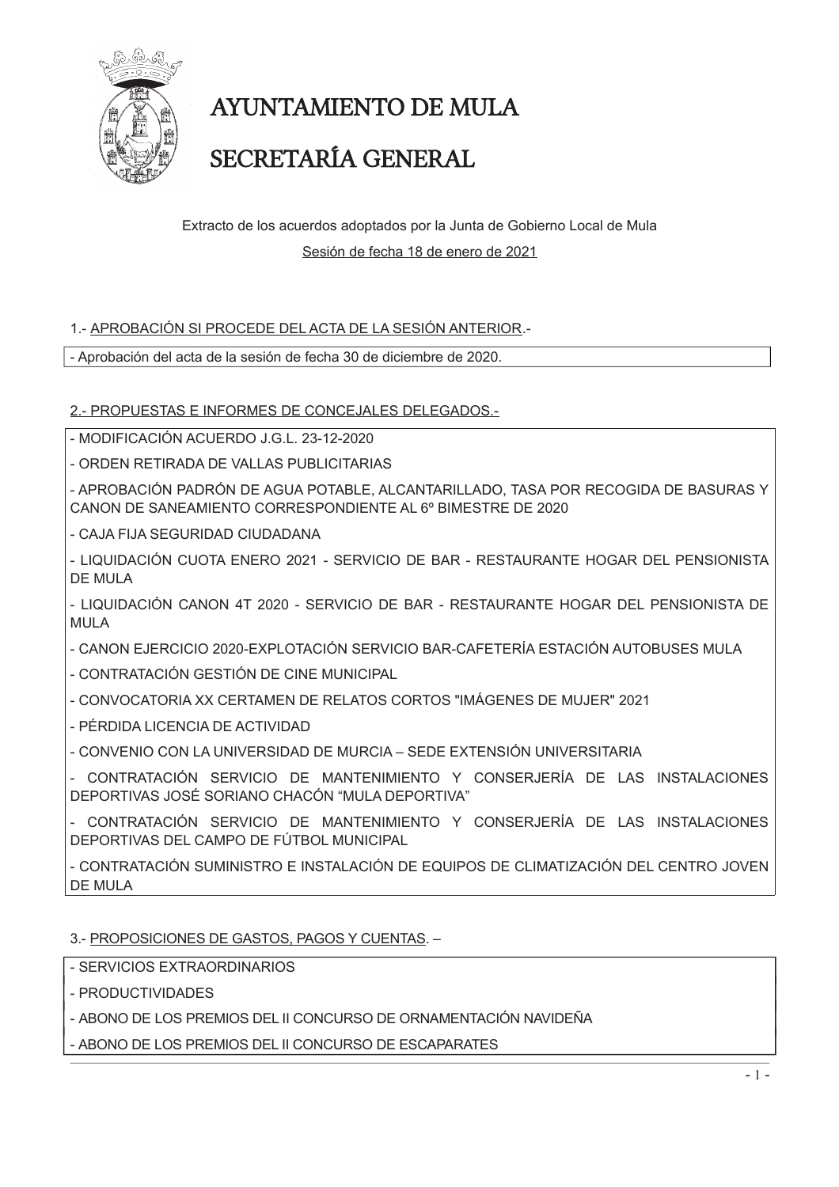

# AYUNTAMIENTO DE MULA

### SECRETARÍA GENERAL

Extracto de los acuerdos adoptados por la Junta de Gobierno Local de Mula Sesión de fecha 18 de enero de 2021

### 1.- APROBACIÓN SI PROCEDE DEL ACTA DE LA SESIÓN ANTERIOR.-

- Aprobación del acta de la sesión de fecha 30 de diciembre de 2020.

2.- PROPUESTAS E INFORMES DE CONCEJALES DELEGADOS.-

- MODIFICACIÓN ACUERDO J.G.L. 23-12-2020

- ORDEN RETIRADA DE VALLAS PUBLICITARIAS

- APROBACIÓN PADRÓN DE AGUA POTABLE, ALCANTARILLADO, TASA POR RECOGIDA DE BASURAS Y CANON DE SANEAMIENTO CORRESPONDIENTE AL 6º BIMESTRE DE 2020

- CAJA FIJA SEGURIDAD CIUDADANA

- LIQUIDACIÓN CUOTA ENERO 2021 - SERVICIO DE BAR - RESTAURANTE HOGAR DEL PENSIONISTA **DE MULA** 

- LIQUIDACIÓN CANON 4T 2020 - SERVICIO DE BAR - RESTAURANTE HOGAR DEL PENSIONISTA DE MUI A

- CANON EJERCICIO 2020-EXPLOTACIÓN SERVICIO BAR-CAFETERÍA ESTACIÓN AUTOBUSES MULA

- CONTRATACIÓN GESTIÓN DE CINE MUNICIPAL

- CONVOCATORIA XX CERTAMEN DE RELATOS CORTOS "IMÁGENES DE MUJER" 2021

- PÉRDIDA LICENCIA DE ACTIVIDAD

- CONVENIO CON LA UNIVERSIDAD DE MURCIA – SEDE EXTENSIÓN UNIVERSITARIA

- CONTRATACIÓN SERVICIO DE MANTENIMIENTO Y CONSERJERÍA DE LAS INSTALACIONES DEPORTIVAS JOSÉ SORIANO CHACÓN "MULA DEPORTIVA"

CONTRATACIÓN SERVICIO DE MANTENIMIENTO Y CONSERJERÍA DE LAS INSTALACIONES DEPORTIVAS DEL CAMPO DE FÚTBOL MUNICIPAL

- CONTRATACIÓN SUMINISTRO E INSTALACIÓN DE EQUIPOS DE CLIMATIZACIÓN DEL CENTRO JOVEN **DE MULA** 

#### 3.- PROPOSICIONES DE GASTOS, PAGOS Y CUENTAS. -

- SERVICIOS EXTRAORDINARIOS

- PRODUCTIVIDADES

- ABONO DE LOS PREMIOS DEL II CONCURSO DE ORNAMENTACIÓN NAVIDEÑA

- ABONO DE LOS PREMIOS DEL II CONCURSO DE ESCAPARATES